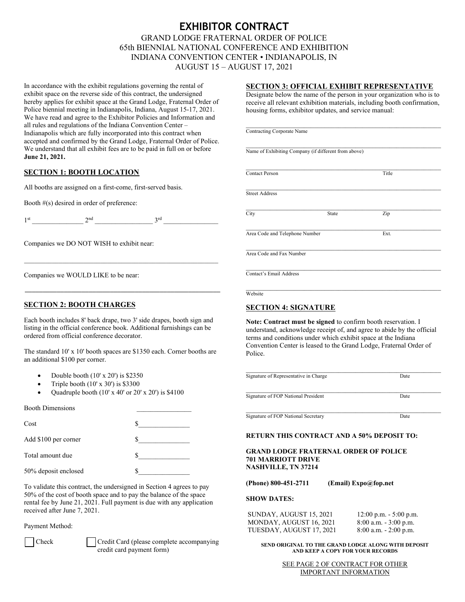# **EXHIBITOR CONTRACT** GRAND LODGE FRATERNAL ORDER OF POLICE 65th BIENNIAL NATIONAL CONFERENCE AND EXHIBITION INDIANA CONVENTION CENTER • INDIANAPOLIS, IN AUGUST 15 – AUGUST 17, 2021

In accordance with the exhibit regulations governing the rental of exhibit space on the reverse side of this contract, the undersigned hereby applies for exhibit space at the Grand Lodge, Fraternal Order of Police biennial meeting in Indianapolis, Indiana, August 15-17, 2021. We have read and agree to the Exhibitor Policies and Information and all rules and regulations of the Indiana Convention Center – Indianapolis which are fully incorporated into this contract when accepted and confirmed by the Grand Lodge, Fraternal Order of Police. We understand that all exhibit fees are to be paid in full on or before **June 21, 2021.** 

# **SECTION 1: BOOTH LOCATION**

All booths are assigned on a first-come, first-served basis.

Booth #(s) desired in order of preference:

 $1^{\text{st}}$   $2^{\text{nd}}$   $3^{\text{rd}}$ 

Companies we DO NOT WISH to exhibit near:

\_\_\_\_\_\_\_\_\_\_\_\_\_\_\_\_\_\_\_\_\_\_\_\_\_\_\_\_\_\_\_\_\_\_\_\_\_\_\_\_\_\_\_\_\_\_\_\_\_\_\_\_\_\_\_\_

Companies we WOULD LIKE to be near:

# **SECTION 2: BOOTH CHARGES**

Each booth includes 8' back drape, two 3' side drapes, booth sign and listing in the official conference book. Additional furnishings can be ordered from official conference decorator.

\_\_\_\_\_\_\_\_\_\_\_\_\_\_\_\_\_\_\_\_\_\_\_\_\_\_\_\_\_\_\_\_\_\_\_\_\_\_\_\_\_\_\_\_\_\_\_\_\_\_\_\_\_\_\_

The standard 10' x 10' booth spaces are \$1350 each. Corner booths are an additional \$100 per corner.

- Double booth (10' x 20') is \$2350
- Triple booth  $(10' \times 30')$  is \$3300
- Quadruple booth  $(10' \times 40' \text{ or } 20' \times 20')$  is \$4100

| <b>Booth Dimensions</b> |  |
|-------------------------|--|
| Cost                    |  |
| Add \$100 per corner    |  |
| Total amount due        |  |
| 50% deposit enclosed    |  |

To validate this contract, the undersigned in Section 4 agrees to pay 50% of the cost of booth space and to pay the balance of the space rental fee by June 21, 2021. Full payment is due with any application received after June 7, 2021.

# Payment Method:



Check Credit Card (please complete accompanying credit card payment form)

# **SECTION 3: OFFICIAL EXHIBIT REPRESENTATIVE**

Designate below the name of the person in your organization who is to receive all relevant exhibition materials, including booth confirmation, housing forms, exhibitor updates, and service manual:

\_\_\_\_\_\_\_\_\_\_\_\_\_\_\_\_\_\_\_\_\_\_\_\_\_\_\_\_\_\_\_\_\_\_\_\_\_\_\_\_\_\_\_\_\_\_\_\_\_\_\_\_\_\_\_\_\_

\_\_\_\_\_\_\_\_\_\_\_\_\_\_\_\_\_\_\_\_\_\_\_\_\_\_\_\_\_\_\_\_\_\_\_\_\_\_\_\_\_\_\_\_\_\_\_\_\_\_\_\_\_\_\_\_\_ Contracting Corporate Name

| Name of Exhibiting Company (if different from above) |  |
|------------------------------------------------------|--|

**Contact Person** Title

\_\_\_\_\_\_\_\_\_\_\_\_\_\_\_\_\_\_\_\_\_\_\_\_\_\_\_\_\_\_\_\_\_\_\_\_\_\_\_\_\_\_\_\_\_\_\_\_\_\_\_\_\_\_\_\_\_ Street Address

\_\_\_\_\_\_\_\_\_\_\_\_\_\_\_\_\_\_\_\_\_\_\_\_\_\_\_\_\_\_\_\_\_\_\_\_\_\_\_\_\_\_\_\_\_\_\_\_\_\_\_\_\_\_\_\_\_ City State Zip

Area Code and Telephone Number Ext.

\_\_\_\_\_\_\_\_\_\_\_\_\_\_\_\_\_\_\_\_\_\_\_\_\_\_\_\_\_\_\_\_\_\_\_\_\_\_\_\_\_\_\_\_\_\_\_\_\_\_\_\_\_\_\_\_\_ Area Code and Fax Number

\_\_\_\_\_\_\_\_\_\_\_\_\_\_\_\_\_\_\_\_\_\_\_\_\_\_\_\_\_\_\_\_\_\_\_\_\_\_\_\_\_\_\_\_\_\_\_\_\_\_\_\_\_\_\_\_\_ Contact's Email Address

\_\_\_\_\_\_\_\_\_\_\_\_\_\_\_\_\_\_\_\_\_\_\_\_\_\_\_\_\_\_\_\_\_\_\_\_\_\_\_\_\_\_\_\_\_\_\_\_\_\_\_\_\_\_\_\_\_ **Website** 

# **SECTION 4: SIGNATURE**

**Note: Contract must be signed** to confirm booth reservation. I understand, acknowledge receipt of, and agree to abide by the official terms and conditions under which exhibit space at the Indiana Convention Center is leased to the Grand Lodge, Fraternal Order of Police.

| Date |
|------|
|      |

**Signature of FOP National Secretary Date** 

# **RETURN THIS CONTRACT AND A 50% DEPOSIT TO:**

**GRAND LODGE FRATERNAL ORDER OF POLICE 701 MARRIOTT DRIVE NASHVILLE, TN 37214**

**(Phone) 800-451-2711 (Email) Expo@fop.net**

# **SHOW DATES:**

| SUNDAY, AUGUST 15, 2021  | $12:00$ p.m. $-5:00$ p.m. |
|--------------------------|---------------------------|
| MONDAY, AUGUST 16, 2021  | $8:00$ a.m. $-3:00$ p.m.  |
| TUESDAY, AUGUST 17, 2021 | $8:00$ a.m. $-2:00$ p.m.  |

## **SEND ORIGINAL TO THE GRAND LODGE ALONG WITH DEPOSIT AND KEEP A COPY FOR YOUR RECORDS**

SEE PAGE 2 OF CONTRACT FOR OTHER IMPORTANT INFORMATION